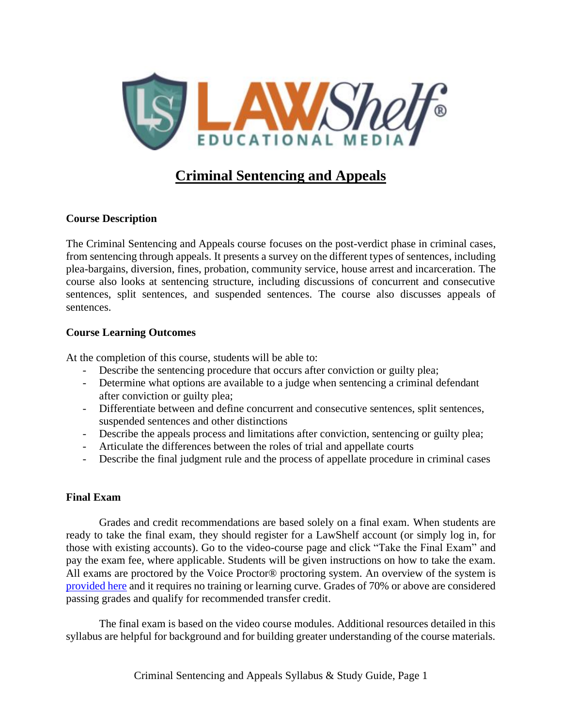

# **Criminal Sentencing and Appeals**

### **Course Description**

The Criminal Sentencing and Appeals course focuses on the post-verdict phase in criminal cases, from sentencing through appeals. It presents a survey on the different types of sentences, including plea-bargains, diversion, fines, probation, community service, house arrest and incarceration. The course also looks at sentencing structure, including discussions of concurrent and consecutive sentences, split sentences, and suspended sentences. The course also discusses appeals of sentences.

### **Course Learning Outcomes**

At the completion of this course, students will be able to:

- Describe the sentencing procedure that occurs after conviction or guilty plea;
- Determine what options are available to a judge when sentencing a criminal defendant after conviction or guilty plea;
- Differentiate between and define concurrent and consecutive sentences, split sentences, suspended sentences and other distinctions
- Describe the appeals process and limitations after conviction, sentencing or guilty plea;
- Articulate the differences between the roles of trial and appellate courts
- Describe the final judgment rule and the process of appellate procedure in criminal cases

### **Final Exam**

Grades and credit recommendations are based solely on a final exam. When students are ready to take the final exam, they should register for a LawShelf account (or simply log in, for those with existing accounts). Go to the video-course page and click "Take the Final Exam" and pay the exam fee, where applicable. Students will be given instructions on how to take the exam. All exams are proctored by the Voice Proctor® proctoring system. An overview of the system is [provided here](https://lawshelf.com/voiceproctorvideo) and it requires no training or learning curve. Grades of 70% or above are considered passing grades and qualify for recommended transfer credit.

The final exam is based on the video course modules. Additional resources detailed in this syllabus are helpful for background and for building greater understanding of the course materials.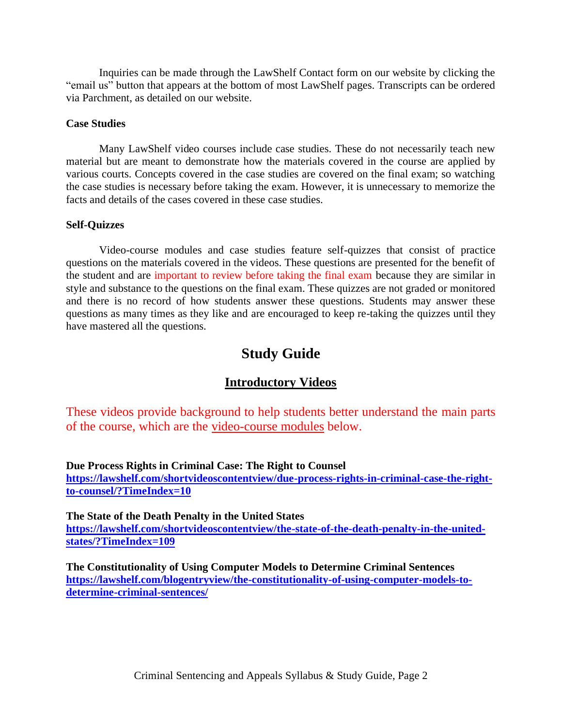Inquiries can be made through the LawShelf Contact form on our website by clicking the "email us" button that appears at the bottom of most LawShelf pages. Transcripts can be ordered via Parchment, as detailed on our website.

### **Case Studies**

Many LawShelf video courses include case studies. These do not necessarily teach new material but are meant to demonstrate how the materials covered in the course are applied by various courts. Concepts covered in the case studies are covered on the final exam; so watching the case studies is necessary before taking the exam. However, it is unnecessary to memorize the facts and details of the cases covered in these case studies.

### **Self-Quizzes**

Video-course modules and case studies feature self-quizzes that consist of practice questions on the materials covered in the videos. These questions are presented for the benefit of the student and are important to review before taking the final exam because they are similar in style and substance to the questions on the final exam. These quizzes are not graded or monitored and there is no record of how students answer these questions. Students may answer these questions as many times as they like and are encouraged to keep re-taking the quizzes until they have mastered all the questions.

# **Study Guide**

### **Introductory Videos**

These videos provide background to help students better understand the main parts of the course, which are the video-course modules below.

**Due Process Rights in Criminal Case: The Right to Counsel [https://lawshelf.com/shortvideoscontentview/due-process-rights-in-criminal-case-the-right](https://lawshelf.com/shortvideoscontentview/due-process-rights-in-criminal-case-the-right-to-counsel/?TimeIndex=10)[to-counsel/?TimeIndex=10](https://lawshelf.com/shortvideoscontentview/due-process-rights-in-criminal-case-the-right-to-counsel/?TimeIndex=10)**

**The State of the Death Penalty in the United States [https://lawshelf.com/shortvideoscontentview/the-state-of-the-death-penalty-in-the-united](https://lawshelf.com/shortvideoscontentview/the-state-of-the-death-penalty-in-the-united-states/?TimeIndex=109)[states/?TimeIndex=109](https://lawshelf.com/shortvideoscontentview/the-state-of-the-death-penalty-in-the-united-states/?TimeIndex=109)**

**The Constitutionality of Using Computer Models to Determine Criminal Sentences [https://lawshelf.com/blogentryview/the-constitutionality-of-using-computer-models-to](https://lawshelf.com/blogentryview/the-constitutionality-of-using-computer-models-to-determine-criminal-sentences/)[determine-criminal-sentences/](https://lawshelf.com/blogentryview/the-constitutionality-of-using-computer-models-to-determine-criminal-sentences/)**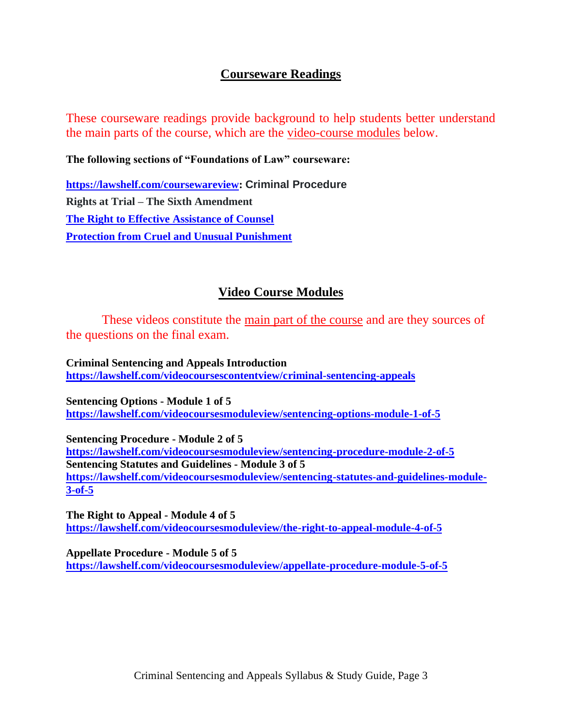### **Courseware Readings**

These courseware readings provide background to help students better understand the main parts of the course, which are the video-course modules below.

**The following sections of "Foundations of Law" courseware:**

**[https://lawshelf.com/coursewareview:](https://lawshelf.com/coursewareview) Criminal Procedure Rights at Trial – The Sixth Amendment [The Right to Effective Assistance of Counsel](https://lawshelf.com/coursewarecontentview/the-right-to-effective-assistance-of-counsel) [Protection from Cruel and Unusual Punishment](https://lawshelf.com/coursewarecontentview/protection-from-cruel-and-unusual-punishment)**

## **Video Course Modules**

These videos constitute the main part of the course and are they sources of the questions on the final exam.

**Criminal Sentencing and Appeals Introduction <https://lawshelf.com/videocoursescontentview/criminal-sentencing-appeals>**

**Sentencing Options - Module 1 of 5 <https://lawshelf.com/videocoursesmoduleview/sentencing-options-module-1-of-5>**

**Sentencing Procedure - Module 2 of 5 <https://lawshelf.com/videocoursesmoduleview/sentencing-procedure-module-2-of-5> Sentencing Statutes and Guidelines - Module 3 of 5 [https://lawshelf.com/videocoursesmoduleview/sentencing-statutes-and-guidelines-module-](https://lawshelf.com/videocoursesmoduleview/sentencing-statutes-and-guidelines-module-3-of-5)[3-of-5](https://lawshelf.com/videocoursesmoduleview/sentencing-statutes-and-guidelines-module-3-of-5)**

**The Right to Appeal - Module 4 of 5 <https://lawshelf.com/videocoursesmoduleview/the-right-to-appeal-module-4-of-5>**

**Appellate Procedure - Module 5 of 5 <https://lawshelf.com/videocoursesmoduleview/appellate-procedure-module-5-of-5>**